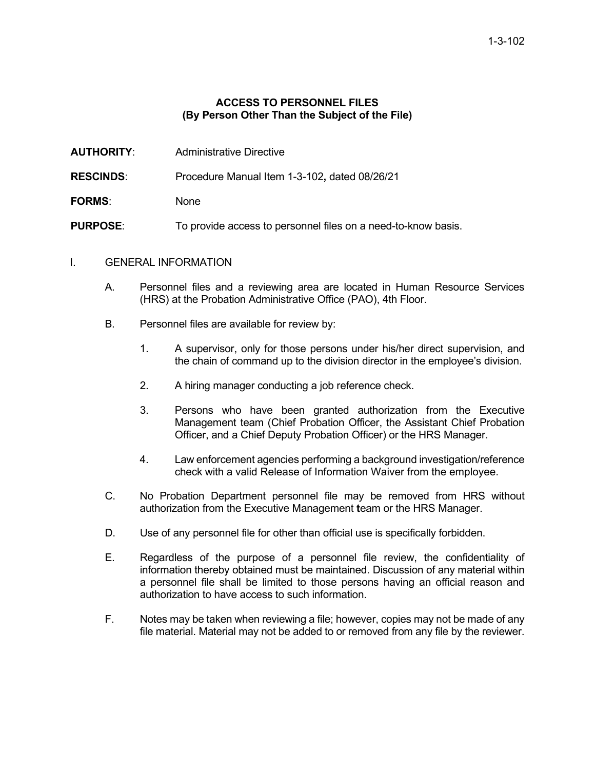## **ACCESS TO PERSONNEL FILES (By Person Other Than the Subject of the File)**

- **AUTHORITY** Administrative Directive
- **RESCINDS**: Procedure Manual Item 1-3-102**,** dated 08/26/21
- **FORMS**: None
- **PURPOSE:** To provide access to personnel files on a need-to-know basis.

## I. GENERAL INFORMATION

- A. Personnel files and a reviewing area are located in Human Resource Services (HRS) at the Probation Administrative Office (PAO), 4th Floor.
- B. Personnel files are available for review by:
	- 1. A supervisor, only for those persons under his/her direct supervision, and the chain of command up to the division director in the employee's division.
	- 2. A hiring manager conducting a job reference check.
	- 3. Persons who have been granted authorization from the Executive Management team (Chief Probation Officer, the Assistant Chief Probation Officer, and a Chief Deputy Probation Officer) or the HRS Manager.
	- 4. Law enforcement agencies performing a background investigation/reference check with a valid Release of Information Waiver from the employee.
- C. No Probation Department personnel file may be removed from HRS without authorization from the Executive Management **t**eam or the HRS Manager.
- D. Use of any personnel file for other than official use is specifically forbidden.
- E. Regardless of the purpose of a personnel file review, the confidentiality of information thereby obtained must be maintained. Discussion of any material within a personnel file shall be limited to those persons having an official reason and authorization to have access to such information.
- F. Notes may be taken when reviewing a file; however, copies may not be made of any file material. Material may not be added to or removed from any file by the reviewer.